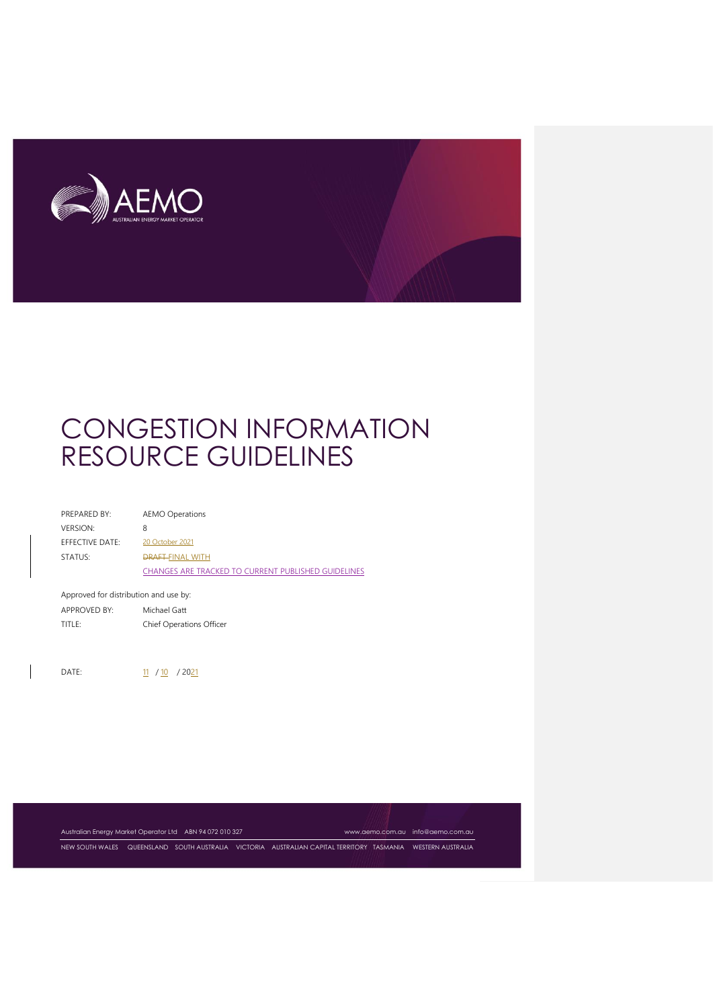

| PREPARED BY:                          | <b>AEMO Operations</b>                                     |  |
|---------------------------------------|------------------------------------------------------------|--|
| <b>VERSION:</b>                       | 8                                                          |  |
| <b>FFFECTIVE DATE:</b>                | 20 October 2021                                            |  |
| STATUS:                               | <b>DRAFT-FINAL WITH</b>                                    |  |
|                                       | <b>CHANGES ARE TRACKED TO CURRENT PUBLISHED GUIDELINES</b> |  |
|                                       |                                                            |  |
| Approved for distribution and use by: |                                                            |  |

APPROVED BY: Michael Gatt TITLE: Chief Operations Officer

DATE: 11 / 10 / 2021

Australian Energy Market Operator Ltd ABN 94 072 010 327 [www.aemo.com.au](http://www.aemo.com.au/) [info@aemo.com.au](mailto:info@aemo.com.au)

NEW SOUTH WALES QUEENSLAND SOUTH AUSTRALIA VICTORIA AUSTRALIAN CAPITAL TERRITORY TASMANIA WESTERN AUSTRALIA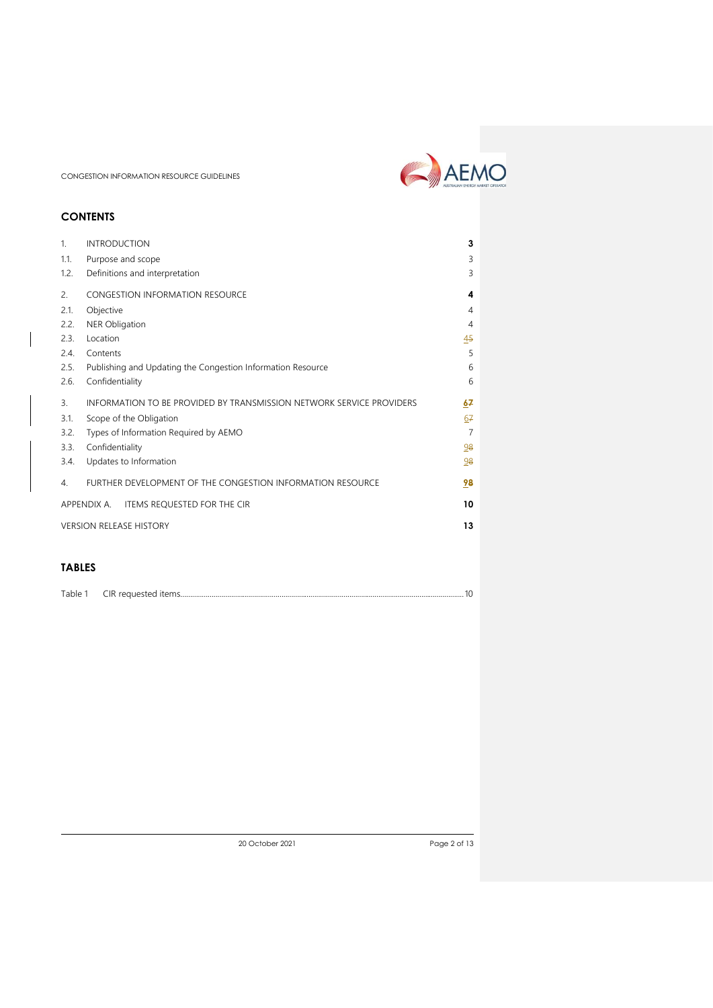# **CONTENTS**

| 1 <sub>1</sub>   | <b>INTRODUCTION</b>                                                  | 3              |  |
|------------------|----------------------------------------------------------------------|----------------|--|
| 1.1.             | Purpose and scope                                                    | 3              |  |
| 1.2.             | Definitions and interpretation                                       | 3              |  |
| 2.               | CONGESTION INFORMATION RESOURCE                                      | 4              |  |
| 2.1.             | Objective                                                            | 4              |  |
| 2.2.             | <b>NER Obligation</b>                                                | 4              |  |
| 2.3.             | Location                                                             | 45             |  |
| 2.4.             | Contents                                                             | 5              |  |
| 2.5.             | Publishing and Updating the Congestion Information Resource          | 6              |  |
| 2.6.             | Confidentiality                                                      | 6              |  |
| $\overline{3}$ . | INFORMATION TO BE PROVIDED BY TRANSMISSION NETWORK SERVICE PROVIDERS | 67             |  |
| 3.1.             | Scope of the Obligation                                              | 67             |  |
| 3.2.             | Types of Information Required by AEMO                                | $\overline{7}$ |  |
| 3.3.             | Confidentiality                                                      | 98             |  |
| 3.4.             | Updates to Information                                               | 98             |  |
| 4.               | FURTHER DEVELOPMENT OF THE CONGESTION INFORMATION RESOURCE           | 98             |  |
|                  | APPENDIX A. ITEMS REQUESTED FOR THE CIR                              | 10             |  |
|                  | <b>VERSION RELEASE HISTORY</b><br>13                                 |                |  |

# **TABLES**

| Table 1 | CIR requested items |  |
|---------|---------------------|--|
|---------|---------------------|--|

20 October 2021 Page 2 of 13

AEMO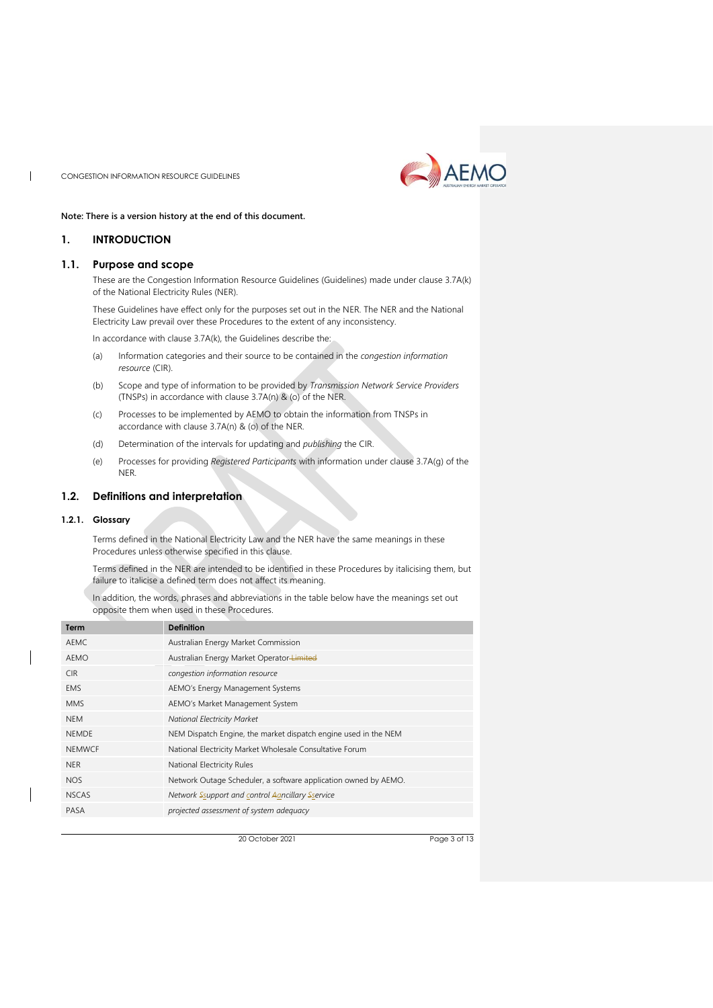

#### **Note: There is a version history at the end of this document.**

## <span id="page-2-0"></span>**1. INTRODUCTION**

 $\overline{\phantom{a}}$ 

#### <span id="page-2-1"></span>**1.1. Purpose and scope**

These are the Congestion Information Resource Guidelines (Guidelines) made under clause 3.7A(k) of the National Electricity Rules (NER).

These Guidelines have effect only for the purposes set out in the NER. The NER and the National Electricity Law prevail over these Procedures to the extent of any inconsistency.

In accordance with clause 3.7A(k), the Guidelines describe the:

- (a) Information categories and their source to be contained in the *congestion information resource* (CIR).
- (b) Scope and type of information to be provided by *Transmission Network Service Providers* (TNSPs) in accordance with clause 3.7A(n) & (o) of the NER.
- (c) Processes to be implemented by AEMO to obtain the information from TNSPs in accordance with clause 3.7A(n) & (o) of the NER.
- (d) Determination of the intervals for updating and *publishing* the CIR.
- (e) Processes for providing *Registered Participants* with information under clause 3.7A(g) of the NER.

## <span id="page-2-2"></span>**1.2. Definitions and interpretation**

#### **1.2.1. Glossary**

Terms defined in the National Electricity Law and the NER have the same meanings in these Procedures unless otherwise specified in this clause.

Terms defined in the NER are intended to be identified in these Procedures by italicising them, but failure to italicise a defined term does not affect its meaning.

In addition, the words, phrases and abbreviations in the table below have the meanings set out opposite them when used in these Procedures.

| Term          | <b>Definition</b>                                               |
|---------------|-----------------------------------------------------------------|
| AEMC          | Australian Energy Market Commission                             |
| AEMO          | Australian Energy Market Operator-Limited                       |
| CIR.          | congestion information resource                                 |
| <b>EMS</b>    | AEMO's Energy Management Systems                                |
| <b>MMS</b>    | AEMO's Market Management System                                 |
| <b>NEM</b>    | <b>National Electricity Market</b>                              |
| <b>NEMDE</b>  | NEM Dispatch Engine, the market dispatch engine used in the NEM |
| <b>NEMWCE</b> | National Electricity Market Wholesale Consultative Forum        |
| <b>NER</b>    | National Electricity Rules                                      |
| NOS.          | Network Outage Scheduler, a software application owned by AEMO. |
| <b>NSCAS</b>  | Network Ssupport and control Aancillary Sservice                |
| <b>PASA</b>   | projected assessment of system adequacy                         |
|               |                                                                 |

20 October 2021 Page 3 of 13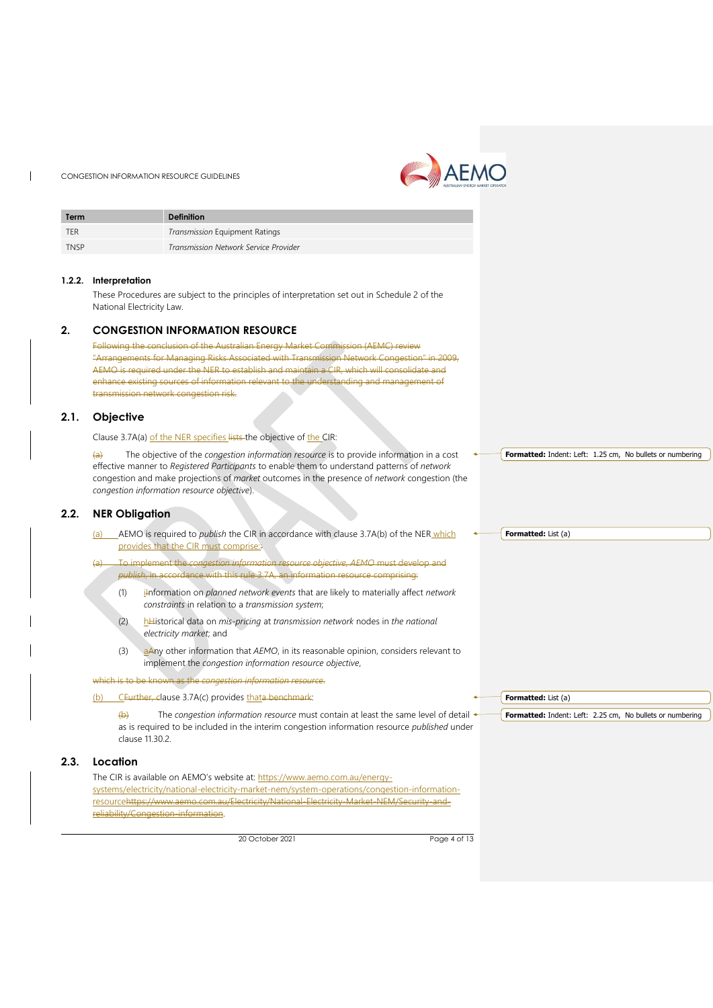$\mathbf{I}$ 



<span id="page-3-2"></span><span id="page-3-1"></span><span id="page-3-0"></span>

| Term        | <b>Definition</b>                                                                                                                                                                                                     |                                                           |
|-------------|-----------------------------------------------------------------------------------------------------------------------------------------------------------------------------------------------------------------------|-----------------------------------------------------------|
| <b>TER</b>  | Transmission Equipment Ratings                                                                                                                                                                                        |                                                           |
| <b>TNSP</b> | Transmission Network Service Provider                                                                                                                                                                                 |                                                           |
|             |                                                                                                                                                                                                                       |                                                           |
| 1.2.2.      | Interpretation                                                                                                                                                                                                        |                                                           |
|             | These Procedures are subject to the principles of interpretation set out in Schedule 2 of the                                                                                                                         |                                                           |
|             | National Electricity Law.                                                                                                                                                                                             |                                                           |
| 2.          | <b>CONGESTION INFORMATION RESOURCE</b>                                                                                                                                                                                |                                                           |
|             | Following the conclusion of the Australian Energy Market Commission (AEMC) review                                                                                                                                     |                                                           |
|             | "Arrangements for Managing Risks Associated with Transmission Network Congestion" in 2009,<br>AEMO is required under the NER to establish and maintain a CIR, which will consolidate and                              |                                                           |
|             | enhance existing sources of information relevant to the understanding and management of                                                                                                                               |                                                           |
|             | transmission network congestion risk.                                                                                                                                                                                 |                                                           |
| 2.1.        | Objective                                                                                                                                                                                                             |                                                           |
|             |                                                                                                                                                                                                                       |                                                           |
|             | Clause 3.7A(a) of the NER specifies lists the objective of the CIR:                                                                                                                                                   |                                                           |
|             | The objective of the congestion information resource is to provide information in a cost<br>$\left(\mathrm{a}\right)$<br>effective manner to Registered Participants to enable them to understand patterns of network | Formatted: Indent: Left: 1.25 cm, No bullets or numbering |
|             | congestion and make projections of market outcomes in the presence of network congestion (the                                                                                                                         |                                                           |
|             | congestion information resource objective).                                                                                                                                                                           |                                                           |
| 2.2.        | <b>NER Obligation</b>                                                                                                                                                                                                 |                                                           |
|             | _AEMO is required to <i>publish</i> the CIR in accordance with clause 3.7A(b) of the NER_which<br>(a)                                                                                                                 | <b>Formatted:</b> List (a)                                |
|             | provides that the CIR must comprise:                                                                                                                                                                                  |                                                           |
|             | To implement the congestion information resource objective, AEMO must develop and<br>(a)                                                                                                                              |                                                           |
|             | publish, in accordance with this rule 3.7A, an information resource comprising:                                                                                                                                       |                                                           |
|             | ilnformation on planned network events that are likely to materially affect network<br>(1)                                                                                                                            |                                                           |
|             | constraints in relation to a transmission system;                                                                                                                                                                     |                                                           |
|             | hHistorical data on mis-pricing at transmission network nodes in the national<br>(2)<br>electricity market; and                                                                                                       |                                                           |
|             |                                                                                                                                                                                                                       |                                                           |
|             | (3)<br>$a$ Any other information that AEMO, in its reasonable opinion, considers relevant to<br>implement the congestion information resource objective,                                                              |                                                           |
|             | which is to be known as the congestion information resource.                                                                                                                                                          |                                                           |
|             | CFurther, clause 3.7A(c) provides thata benchmark:<br>(b)                                                                                                                                                             | Formatted: List (a)                                       |
|             | The congestion information resource must contain at least the same level of detail <<br>$\leftrightarrow$                                                                                                             | Formatted: Indent: Left: 2.25 cm, No bullets or numbering |
|             | as is required to be included in the interim congestion information resource published under                                                                                                                          |                                                           |
|             | clause 11.30.2.                                                                                                                                                                                                       |                                                           |
| 2.3.        | Location                                                                                                                                                                                                              |                                                           |
|             | The CIR is available on AEMO's website at: https://www.aemo.com.au/energy-                                                                                                                                            |                                                           |
|             | systems/electricity/national-electricity-market-nem/system-operations/congestion-information-<br>resourcehttps://www.aemo.com.au/Electricity/National-Electricity-Market-NEM/Security-and-                            |                                                           |
|             | reliability/Congestion-information.                                                                                                                                                                                   |                                                           |
|             |                                                                                                                                                                                                                       |                                                           |

<span id="page-3-3"></span>20 October 2021 Page 4 of 13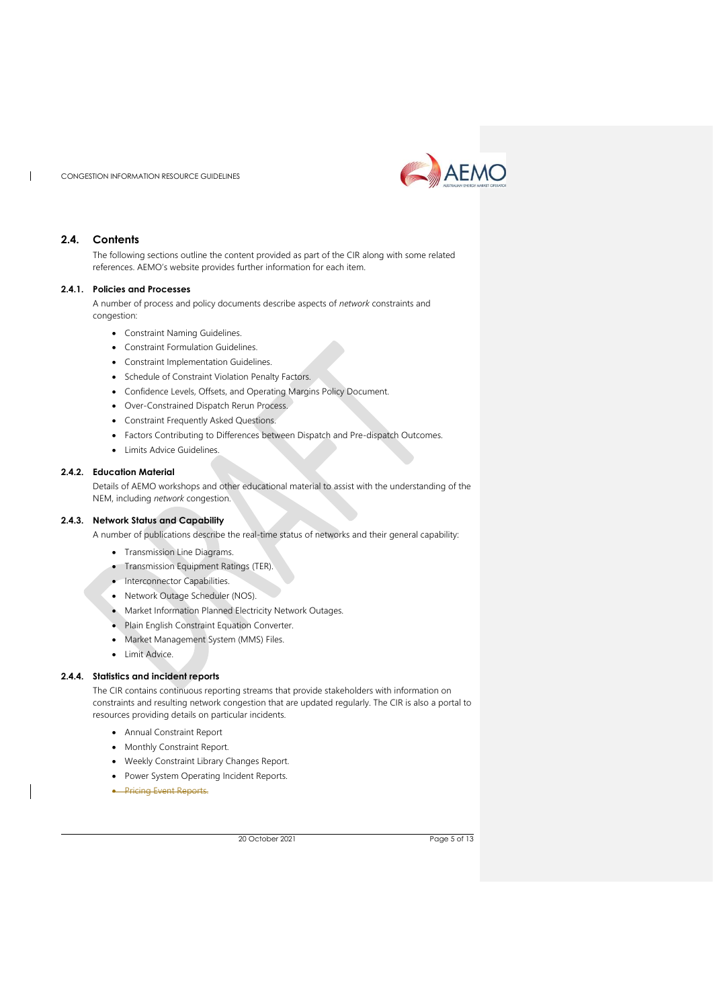

## <span id="page-4-0"></span>**2.4. Contents**

H

The following sections outline the content provided as part of the CIR along with some related references. AEMO's website provides further information for each item.

#### **2.4.1. Policies and Processes**

A number of process and policy documents describe aspects of *network* constraints and congestion:

- Constraint Naming Guidelines.
- Constraint Formulation Guidelines.
- Constraint Implementation Guidelines.
- Schedule of Constraint Violation Penalty Factors.
- Confidence Levels, Offsets, and Operating Margins Policy Document.
- Over-Constrained Dispatch Rerun Process.
- Constraint Frequently Asked Questions.
- Factors Contributing to Differences between Dispatch and Pre-dispatch Outcomes.
- Limits Advice Guidelines.

## **2.4.2. Education Material**

Details of AEMO workshops and other educational material to assist with the understanding of the NEM, including *network* congestion.

#### **2.4.3. Network Status and Capability**

A number of publications describe the real-time status of networks and their general capability:

- Transmission Line Diagrams.
- Transmission Equipment Ratings (TER).
- Interconnector Capabilities.
- Network Outage Scheduler (NOS).
- Market Information Planned Electricity Network Outages.
- Plain English Constraint Equation Converter.
- Market Management System (MMS) Files.
- Limit Advice.

## **2.4.4. Statistics and incident reports**

The CIR contains continuous reporting streams that provide stakeholders with information on constraints and resulting network congestion that are updated regularly. The CIR is also a portal to resources providing details on particular incidents.

- Annual Constraint Report
- Monthly Constraint Report.
- Weekly Constraint Library Changes Report.
- Power System Operating Incident Reports.
- Pricing Event Reports.

20 October 2021 Page 5 of 13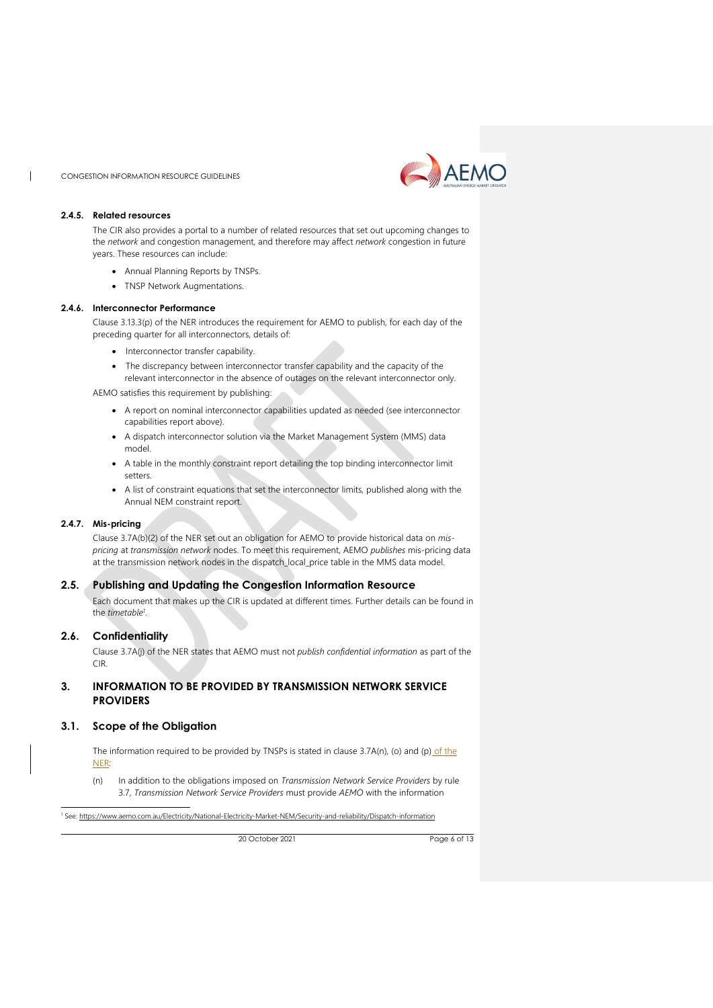

#### **2.4.5. Related resources**

 $\mathbf{I}$ 

The CIR also provides a portal to a number of related resources that set out upcoming changes to the *network* and congestion management, and therefore may affect *network* congestion in future years. These resources can include:

- Annual Planning Reports by TNSPs.
- TNSP Network Augmentations.

#### **2.4.6. Interconnector Performance**

Clause 3.13.3(p) of the NER introduces the requirement for AEMO to publish, for each day of the preceding quarter for all interconnectors, details of:

- Interconnector transfer capability.
- The discrepancy between interconnector transfer capability and the capacity of the

relevant interconnector in the absence of outages on the relevant interconnector only.

AEMO satisfies this requirement by publishing:

- A report on nominal interconnector capabilities updated as needed (see interconnector capabilities report above).
- A dispatch interconnector solution via the Market Management System (MMS) data model.
- A table in the monthly constraint report detailing the top binding interconnector limit setters.
- A list of constraint equations that set the interconnector limits, published along with the Annual NEM constraint report.

#### **2.4.7. Mis-pricing**

Clause 3.7A(b)(2) of the NER set out an obligation for AEMO to provide historical data on *mispricing* at *transmission network* nodes. To meet this requirement, AEMO *publishes* mis-pricing data at the transmission network nodes in the dispatch\_local\_price table in the MMS data model.

## <span id="page-5-0"></span>**2.5. Publishing and Updating the Congestion Information Resource**

Each document that makes up the CIR is updated at different times. Further details can be found in the *timetable<sup>1</sup>* .

## <span id="page-5-1"></span>**2.6. Confidentiality**

Clause 3.7A(j) of the NER states that AEMO must not *publish confidential information* as part of the CIR.

## <span id="page-5-2"></span>**3. INFORMATION TO BE PROVIDED BY TRANSMISSION NETWORK SERVICE PROVIDERS**

## <span id="page-5-3"></span>**3.1. Scope of the Obligation**

The information required to be provided by TNSPs is stated in clause 3.7A(n), (o) and (p) of the NER:

(n) In addition to the obligations imposed on *Transmission Network Service Providers* by rule 3.7, *Transmission Network Service Providers* must provide *AEMO* with the information

<sup>1</sup> See:<https://www.aemo.com.au/Electricity/National-Electricity-Market-NEM/Security-and-reliability/Dispatch-information>

20 October 2021 Page 6 of 13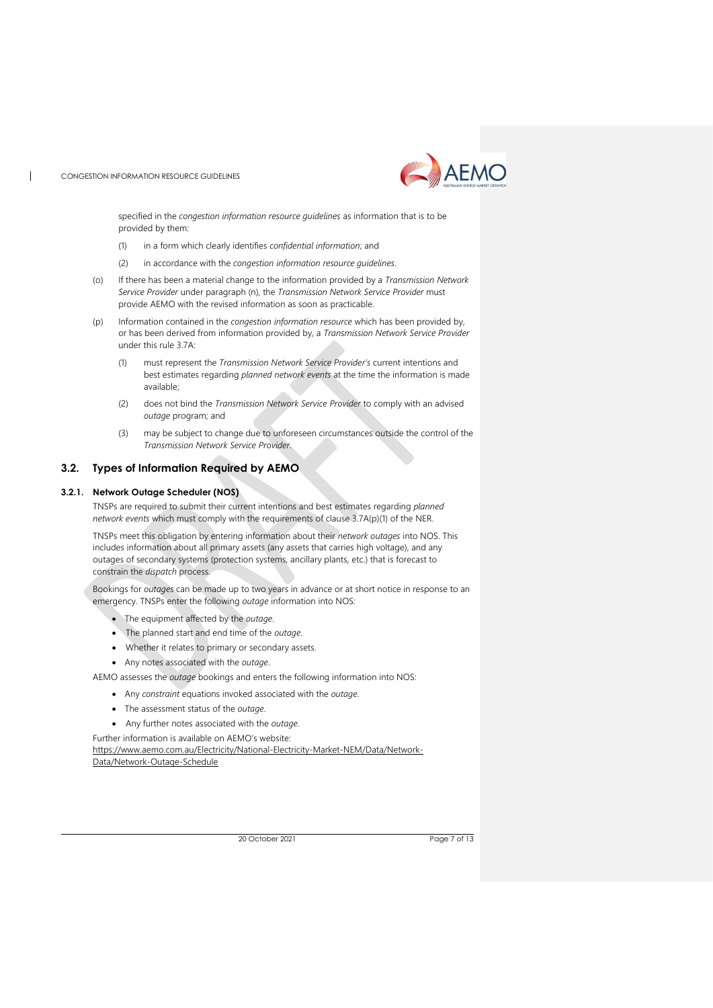

specified in the *congestion information resource guidelines* as information that is to be provided by them:

- (1) in a form which clearly identifies *confidential information*; and
- (2) in accordance with the *congestion information resource guidelines*.
- (o) If there has been a material change to the information provided by a *Transmission Network Service Provider* under paragraph (n), the *Transmission Network Service Provider* must provide AEMO with the revised information as soon as practicable.
- (p) Information contained in the *congestion information resource* which has been provided by, or has been derived from information provided by, a *Transmission Network Service Provider* under this rule 3.7A:
	- (1) must represent the *Transmission Network Service Provider's* current intentions and best estimates regarding *planned network events* at the time the information is made available;
	- (2) does not bind the *Transmission Network Service Provider* to comply with an advised *outage* program; and
	- (3) may be subject to change due to unforeseen circumstances outside the control of the *Transmission Network Service Provider*.

## <span id="page-6-0"></span>**3.2. Types of Information Required by AEMO**

#### <span id="page-6-1"></span>**3.2.1. Network Outage Scheduler (NOS)**

TNSPs are required to submit their current intentions and best estimates regarding *planned network events* which must comply with the requirements of clause 3.7A(p)(1) of the NER.

TNSPs meet this obligation by entering information about their *network outages* into NOS. This includes information about all primary assets (any assets that carries high voltage), and any outages of secondary systems (protection systems, ancillary plants, etc.) that is forecast to constrain the *dispatch* process.

Bookings for *outages* can be made up to two years in advance or at short notice in response to an emergency. TNSPs enter the following *outage* information into NOS:

- The equipment affected by the *outage*.
- The planned start and end time of the *outage*.
- Whether it relates to primary or secondary assets.
- Any notes associated with the *outage*.

AEMO assesses the *outage* bookings and enters the following information into NOS:

- Any *constraint* equations invoked associated with the *outage*.
- The assessment status of the *outage*.
- Any further notes associated with the *outage*.

Further information is available on AEMO's website:

[https://www.aemo.com.au/Electricity/National-Electricity-Market-NEM/Data/Network-](https://www.aemo.com.au/Electricity/National-Electricity-Market-NEM/Data/Network-Data/Network-Outage-Schedule)[Data/Network-Outage-Schedule](https://www.aemo.com.au/Electricity/National-Electricity-Market-NEM/Data/Network-Data/Network-Outage-Schedule)

20 October 2021 Page 7 of 13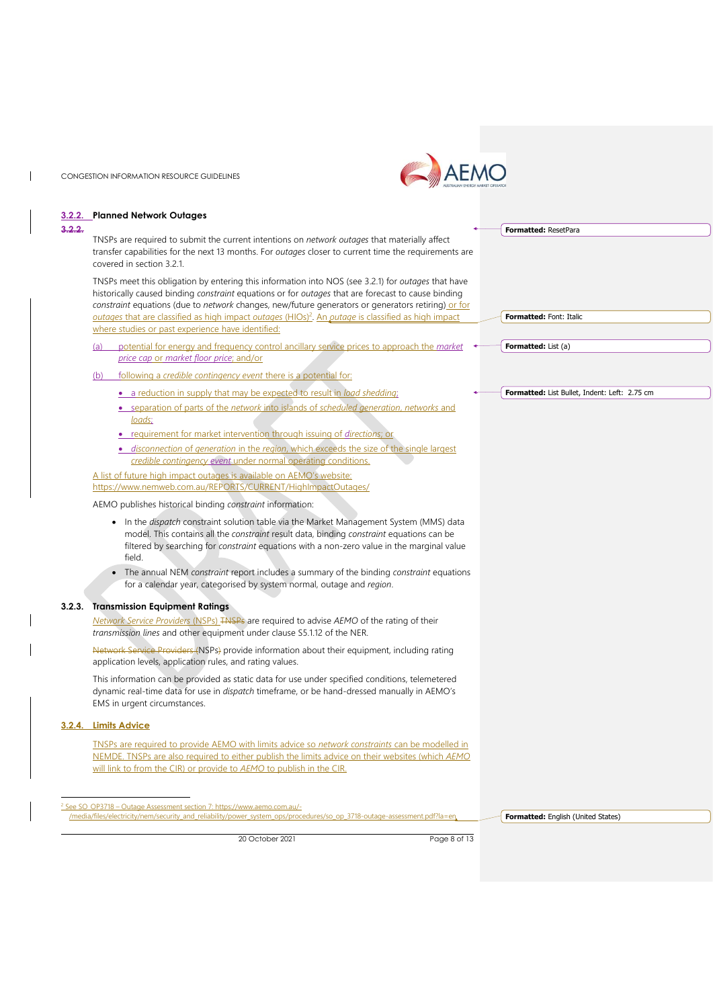$\mathbf{I}$ 

 $\overline{\phantom{a}}$ 



|        | 3.2.2. Planned Network Outages                                                                                                                                                                                                                                                                                 |                                               |
|--------|----------------------------------------------------------------------------------------------------------------------------------------------------------------------------------------------------------------------------------------------------------------------------------------------------------------|-----------------------------------------------|
| 3.2.2. | TNSPs are required to submit the current intentions on network outages that materially affect<br>transfer capabilities for the next 13 months. For outages closer to current time the requirements are<br>covered in section 3.2.1.                                                                            | <b>Formatted: ResetPara</b>                   |
|        | TNSPs meet this obligation by entering this information into NOS (see 3.2.1) for outages that have<br>historically caused binding constraint equations or for outages that are forecast to cause binding<br>constraint equations (due to network changes, new/future generators or generators retiring) or for |                                               |
|        | outages that are classified as high impact outages (HIOs) <sup>2</sup> . An <i>putage</i> is classified as high impact<br>where studies or past experience have identified:                                                                                                                                    | Formatted: Font: Italic                       |
|        | potential for energy and frequency control ancillary service prices to approach the market<br>(a)<br>price cap or market floor price; and/or                                                                                                                                                                   | <b>Formatted:</b> List (a)                    |
|        | <u>following a credible contingency event there is a potential for:</u><br>(b)                                                                                                                                                                                                                                 |                                               |
|        | • a reduction in supply that may be expected to result in load shedding:                                                                                                                                                                                                                                       | Formatted: List Bullet, Indent: Left: 2.75 cm |
|        | • separation of parts of the network into islands of scheduled generation, networks and<br>loads;                                                                                                                                                                                                              |                                               |
|        | • requirement for market intervention through issuing of directions; or                                                                                                                                                                                                                                        |                                               |
|        | · disconnection of generation in the region, which exceeds the size of the single largest<br>credible contingency event under normal operating conditions.                                                                                                                                                     |                                               |
|        | A list of future high impact outages is available on AEMO's website:                                                                                                                                                                                                                                           |                                               |
|        | https://www.nemweb.com.au/REPORTS/CURRENT/HighlmpactOutages/                                                                                                                                                                                                                                                   |                                               |
|        | AEMO publishes historical binding <i>constraint</i> information:                                                                                                                                                                                                                                               |                                               |
|        | • In the <i>dispatch</i> constraint solution table via the Market Management System (MMS) data<br>model. This contains all the constraint result data, binding constraint equations can be<br>filtered by searching for <i>constraint</i> equations with a non-zero value in the marginal value<br>field.      |                                               |
|        | • The annual NEM constraint report includes a summary of the binding constraint equations<br>for a calendar year, categorised by system normal, outage and region.                                                                                                                                             |                                               |
| 3.2.3. | <b>Transmission Equipment Ratings</b>                                                                                                                                                                                                                                                                          |                                               |
|        | Network Service Providers (NSPs) TNSPs are required to advise AEMO of the rating of their<br>transmission lines and other equipment under clause S5.1.12 of the NER.                                                                                                                                           |                                               |
|        | Network Service Providers (NSPs) provide information about their equipment, including rating<br>application levels, application rules, and rating values.                                                                                                                                                      |                                               |
|        | This information can be provided as static data for use under specified conditions, telemetered<br>dynamic real-time data for use in <i>dispatch</i> timeframe, or be hand-dressed manually in AEMO's<br>EMS in urgent circumstances.                                                                          |                                               |
|        | 3.2.4. Limits Advice                                                                                                                                                                                                                                                                                           |                                               |
|        | TNSPs are required to provide AEMO with limits advice so network constraints can be modelled in<br>NEMDE. TNSPs are also required to either publish the limits advice on their websites (which AEMO                                                                                                            |                                               |
|        | will link to from the CIR) or provide to AEMO to publish in the CIR.                                                                                                                                                                                                                                           |                                               |
|        | <sup>2</sup> See SO OP3718 - Outage Assessment section 7: https://www.aemo.com.au/-                                                                                                                                                                                                                            |                                               |
|        | /media/files/electricity/nem/security and reliability/power system ops/procedures/so op 3718-outage-assessment.pdf?la=en                                                                                                                                                                                       | Formatted: English (United States)            |

20 October 2021 Page 8 of 13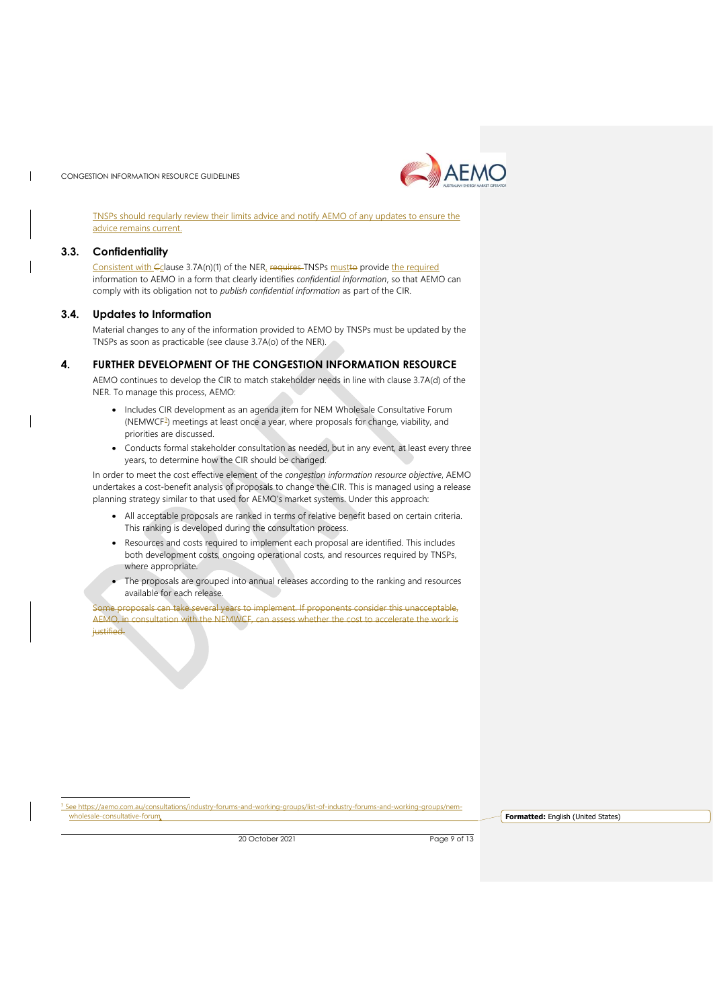

TNSPs should regularly review their limits advice and notify AEMO of any updates to ensure the advice remains current.

#### <span id="page-8-0"></span>**3.3. Confidentiality**

Consistent with Cclause 3.7A(n)(1) of the NER, requires TNSPs mustto provide the required information to AEMO in a form that clearly identifies *confidential information*, so that AEMO can comply with its obligation not to *publish confidential information* as part of the CIR.

#### <span id="page-8-1"></span>**3.4. Updates to Information**

Material changes to any of the information provided to AEMO by TNSPs must be updated by the TNSPs as soon as practicable (see clause 3.7A(o) of the NER).

#### <span id="page-8-2"></span>**4. FURTHER DEVELOPMENT OF THE CONGESTION INFORMATION RESOURCE**

AEMO continues to develop the CIR to match stakeholder needs in line with clause 3.7A(d) of the NER. To manage this process, AEMO:

- Includes CIR development as an agenda item for NEM Wholesale Consultative Forum (NEMWCF<sup>3</sup>) meetings at least once a year, where proposals for change, viability, and priorities are discussed.
- Conducts formal stakeholder consultation as needed, but in any event, at least every three years, to determine how the CIR should be changed.

In order to meet the cost effective element of the *congestion information resource objective*, AEMO undertakes a cost-benefit analysis of proposals to change the CIR. This is managed using a release planning strategy similar to that used for AEMO's market systems. Under this approach:

- All acceptable proposals are ranked in terms of relative benefit based on certain criteria. This ranking is developed during the consultation process.
- Resources and costs required to implement each proposal are identified. This includes both development costs, ongoing operational costs, and resources required by TNSPs, where appropriate.
- The proposals are grouped into annual releases according to the ranking and resources available for each release.

Some proposals can take several years to implement. If proponents consider this unacceptable, AEMO, in consultation with the NEMWCF, can assess whether the cost to accelerate the work is justified.

iee https://aemo.com.au/consultations/industry-forums-and-working-groups/list-of-industry-forums-and-working-groups/nem-<br>wholesale-consultative-forum

**Formatted:** English (United States)

20 October 2021 Page 9 of 13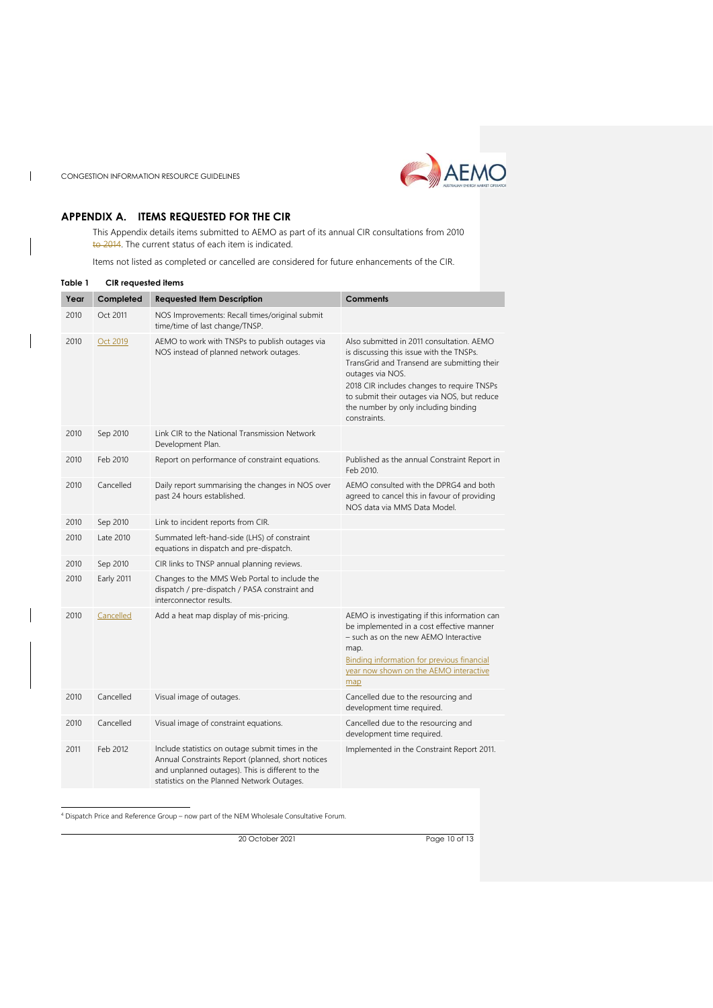

 $\overline{1}$ 



## <span id="page-9-0"></span>**APPENDIX A. ITEMS REQUESTED FOR THE CIR**

This Appendix details items submitted to AEMO as part of its annual CIR consultations from 2010 to 2014. The current status of each item is indicated.

Items not listed as completed or cancelled are considered for future enhancements of the CIR.

<span id="page-9-1"></span>

| Table 1 | <b>CIR</b> requested items |                                                                                                                                                                                                         |                                                                                                                                                                                                                                                                                                               |
|---------|----------------------------|---------------------------------------------------------------------------------------------------------------------------------------------------------------------------------------------------------|---------------------------------------------------------------------------------------------------------------------------------------------------------------------------------------------------------------------------------------------------------------------------------------------------------------|
| Year    | Completed                  | <b>Requested Item Description</b>                                                                                                                                                                       | <b>Comments</b>                                                                                                                                                                                                                                                                                               |
| 2010    | Oct 2011                   | NOS Improvements: Recall times/original submit<br>time/time of last change/TNSP.                                                                                                                        |                                                                                                                                                                                                                                                                                                               |
| 2010    | Oct 2019                   | AEMO to work with TNSPs to publish outages via<br>NOS instead of planned network outages.                                                                                                               | Also submitted in 2011 consultation. AEMO<br>is discussing this issue with the TNSPs.<br>TransGrid and Transend are submitting their<br>outages via NOS.<br>2018 CIR includes changes to require TNSPs<br>to submit their outages via NOS, but reduce<br>the number by only including binding<br>constraints. |
| 2010    | Sep 2010                   | Link CIR to the National Transmission Network<br>Development Plan.                                                                                                                                      |                                                                                                                                                                                                                                                                                                               |
| 2010    | Feb 2010                   | Report on performance of constraint equations.                                                                                                                                                          | Published as the annual Constraint Report in<br>Feb 2010.                                                                                                                                                                                                                                                     |
| 2010    | Cancelled                  | Daily report summarising the changes in NOS over<br>past 24 hours established.                                                                                                                          | AEMO consulted with the DPRG4 and both<br>agreed to cancel this in favour of providing<br>NOS data via MMS Data Model.                                                                                                                                                                                        |
| 2010    | Sep 2010                   | Link to incident reports from CIR.                                                                                                                                                                      |                                                                                                                                                                                                                                                                                                               |
| 2010    | Late 2010                  | Summated left-hand-side (LHS) of constraint<br>equations in dispatch and pre-dispatch.                                                                                                                  |                                                                                                                                                                                                                                                                                                               |
| 2010    | Sep 2010                   | CIR links to TNSP annual planning reviews.                                                                                                                                                              |                                                                                                                                                                                                                                                                                                               |
| 2010    | Early 2011                 | Changes to the MMS Web Portal to include the<br>dispatch / pre-dispatch / PASA constraint and<br>interconnector results.                                                                                |                                                                                                                                                                                                                                                                                                               |
| 2010    | Cancelled                  | Add a heat map display of mis-pricing.                                                                                                                                                                  | AEMO is investigating if this information can<br>be implemented in a cost effective manner<br>- such as on the new AEMO Interactive<br>map.<br><b>Binding information for previous financial</b><br>year now shown on the AEMO interactive<br>map                                                             |
| 2010    | Cancelled                  | Visual image of outages.                                                                                                                                                                                | Cancelled due to the resourcing and<br>development time required.                                                                                                                                                                                                                                             |
| 2010    | Cancelled                  | Visual image of constraint equations.                                                                                                                                                                   | Cancelled due to the resourcing and<br>development time required.                                                                                                                                                                                                                                             |
| 2011    | Feb 2012                   | Include statistics on outage submit times in the<br>Annual Constraints Report (planned, short notices<br>and unplanned outages). This is different to the<br>statistics on the Planned Network Outages. | Implemented in the Constraint Report 2011.                                                                                                                                                                                                                                                                    |

<sup>4</sup> Dispatch Price and Reference Group – now part of the NEM Wholesale Consultative Forum.

20 October 2021 Page 10 of 13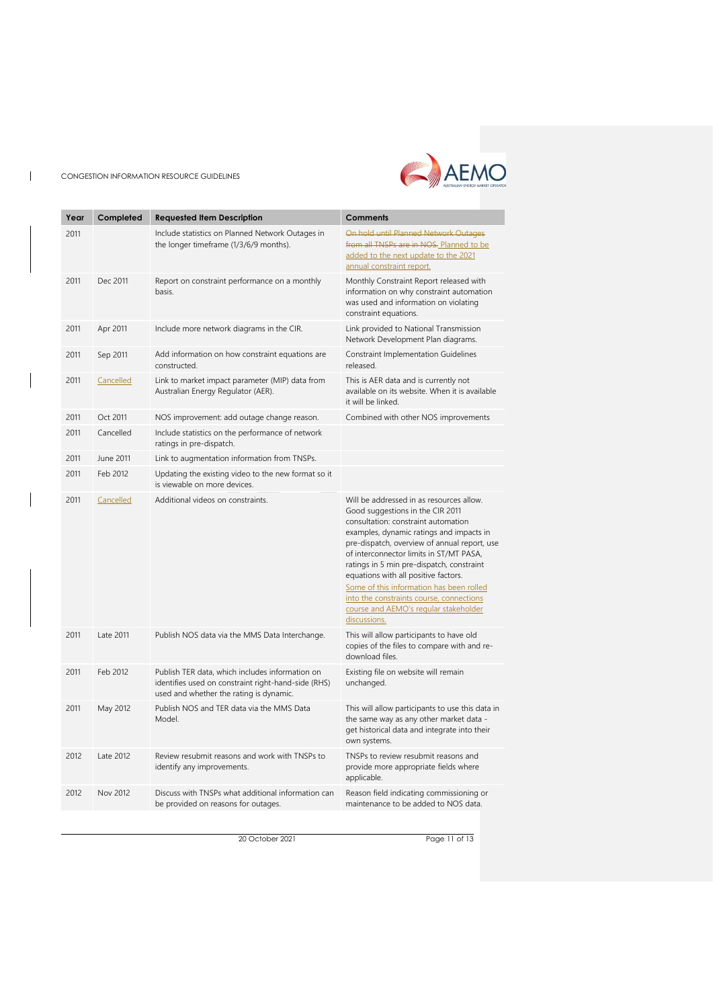$\mathbf{I}$ 



| Year | Completed | <b>Requested Item Description</b>                                                                                                                 | <b>Comments</b>                                                                                                                                                                                                                                                                                                                                                                                                                                                                                  |
|------|-----------|---------------------------------------------------------------------------------------------------------------------------------------------------|--------------------------------------------------------------------------------------------------------------------------------------------------------------------------------------------------------------------------------------------------------------------------------------------------------------------------------------------------------------------------------------------------------------------------------------------------------------------------------------------------|
| 2011 |           | Include statistics on Planned Network Outages in                                                                                                  | On hold until Planned Network Outages                                                                                                                                                                                                                                                                                                                                                                                                                                                            |
|      |           | the longer timeframe (1/3/6/9 months).                                                                                                            | from all TNSPs are in NOS. Planned to be<br>added to the next update to the 2021<br>annual constraint report.                                                                                                                                                                                                                                                                                                                                                                                    |
| 2011 | Dec 2011  | Report on constraint performance on a monthly<br>basis.                                                                                           | Monthly Constraint Report released with<br>information on why constraint automation<br>was used and information on violating<br>constraint equations.                                                                                                                                                                                                                                                                                                                                            |
| 2011 | Apr 2011  | Include more network diagrams in the CIR.                                                                                                         | Link provided to National Transmission<br>Network Development Plan diagrams.                                                                                                                                                                                                                                                                                                                                                                                                                     |
| 2011 | Sep 2011  | Add information on how constraint equations are<br>constructed.                                                                                   | Constraint Implementation Guidelines<br>released.                                                                                                                                                                                                                                                                                                                                                                                                                                                |
| 2011 | Cancelled | Link to market impact parameter (MIP) data from<br>Australian Energy Regulator (AER).                                                             | This is AER data and is currently not<br>available on its website. When it is available<br>it will be linked.                                                                                                                                                                                                                                                                                                                                                                                    |
| 2011 | Oct 2011  | NOS improvement: add outage change reason.                                                                                                        | Combined with other NOS improvements                                                                                                                                                                                                                                                                                                                                                                                                                                                             |
| 2011 | Cancelled | Include statistics on the performance of network<br>ratings in pre-dispatch.                                                                      |                                                                                                                                                                                                                                                                                                                                                                                                                                                                                                  |
| 2011 | June 2011 | Link to augmentation information from TNSPs.                                                                                                      |                                                                                                                                                                                                                                                                                                                                                                                                                                                                                                  |
| 2011 | Feb 2012  | Updating the existing video to the new format so it<br>is viewable on more devices.                                                               |                                                                                                                                                                                                                                                                                                                                                                                                                                                                                                  |
| 2011 | Cancelled | Additional videos on constraints.                                                                                                                 | Will be addressed in as resources allow.<br>Good suggestions in the CIR 2011<br>consultation: constraint automation<br>examples, dynamic ratings and impacts in<br>pre-dispatch, overview of annual report, use<br>of interconnector limits in ST/MT PASA,<br>ratings in 5 min pre-dispatch, constraint<br>equations with all positive factors.<br>Some of this information has been rolled<br>into the constraints course, connections<br>course and AEMO's regular stakeholder<br>discussions. |
| 2011 | Late 2011 | Publish NOS data via the MMS Data Interchange.                                                                                                    | This will allow participants to have old<br>copies of the files to compare with and re-<br>download files.                                                                                                                                                                                                                                                                                                                                                                                       |
| 2011 | Feb 2012  | Publish TER data, which includes information on<br>identifies used on constraint right-hand-side (RHS)<br>used and whether the rating is dynamic. | Existing file on website will remain<br>unchanged.                                                                                                                                                                                                                                                                                                                                                                                                                                               |
| 2011 | May 2012  | Publish NOS and TER data via the MMS Data<br>Model.                                                                                               | This will allow participants to use this data in<br>the same way as any other market data -<br>get historical data and integrate into their<br>own systems.                                                                                                                                                                                                                                                                                                                                      |
| 2012 | Late 2012 | Review resubmit reasons and work with TNSPs to<br>identify any improvements.                                                                      | TNSPs to review resubmit reasons and<br>provide more appropriate fields where<br>applicable.                                                                                                                                                                                                                                                                                                                                                                                                     |
| 2012 | Nov 2012  | Discuss with TNSPs what additional information can<br>be provided on reasons for outages.                                                         | Reason field indicating commissioning or<br>maintenance to be added to NOS data.                                                                                                                                                                                                                                                                                                                                                                                                                 |

20 October 2021 Page 11 of 13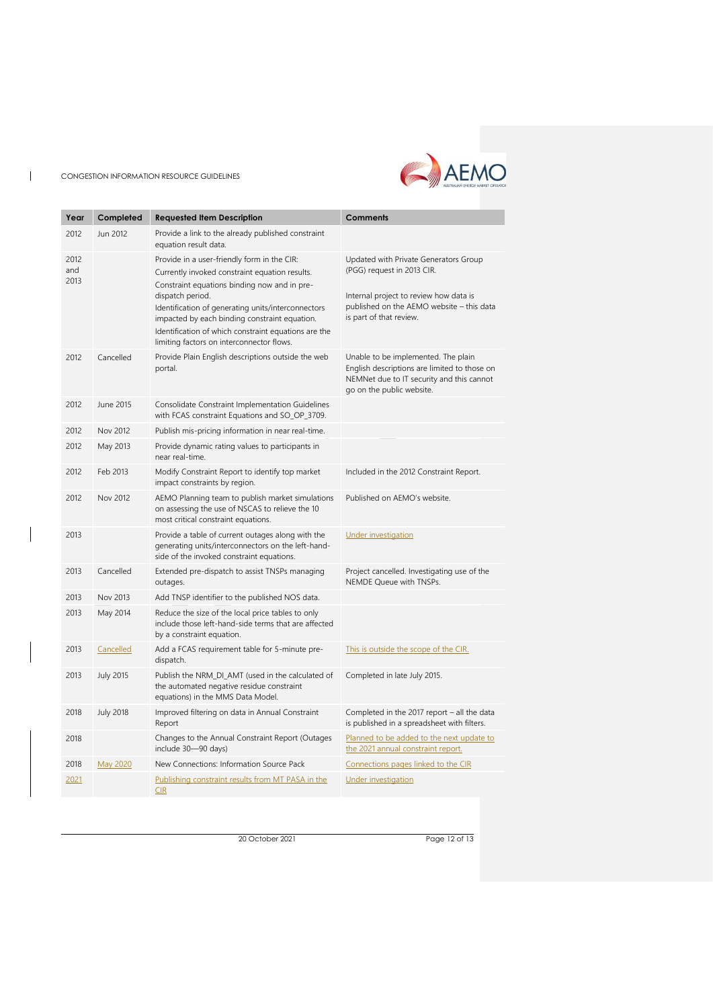$\mathbf{I}$ 



| Year                | Completed        | <b>Requested Item Description</b>                                                                                                                                                                                                                                                                                                                                             | <b>Comments</b>                                                                                                                                                                       |
|---------------------|------------------|-------------------------------------------------------------------------------------------------------------------------------------------------------------------------------------------------------------------------------------------------------------------------------------------------------------------------------------------------------------------------------|---------------------------------------------------------------------------------------------------------------------------------------------------------------------------------------|
| 2012                | Jun 2012         | Provide a link to the already published constraint<br>equation result data.                                                                                                                                                                                                                                                                                                   |                                                                                                                                                                                       |
| 2012<br>and<br>2013 |                  | Provide in a user-friendly form in the CIR:<br>Currently invoked constraint equation results.<br>Constraint equations binding now and in pre-<br>dispatch period.<br>Identification of generating units/interconnectors<br>impacted by each binding constraint equation.<br>Identification of which constraint equations are the<br>limiting factors on interconnector flows. | Updated with Private Generators Group<br>(PGG) request in 2013 CIR.<br>Internal project to review how data is<br>published on the AEMO website - this data<br>is part of that review. |
| 2012                | Cancelled        | Provide Plain English descriptions outside the web<br>portal.                                                                                                                                                                                                                                                                                                                 | Unable to be implemented. The plain<br>English descriptions are limited to those on<br>NEMNet due to IT security and this cannot<br>go on the public website.                         |
| 2012                | June 2015        | Consolidate Constraint Implementation Guidelines<br>with FCAS constraint Equations and SO_OP_3709.                                                                                                                                                                                                                                                                            |                                                                                                                                                                                       |
| 2012                | Nov 2012         | Publish mis-pricing information in near real-time.                                                                                                                                                                                                                                                                                                                            |                                                                                                                                                                                       |
| 2012                | May 2013         | Provide dynamic rating values to participants in<br>near real-time.                                                                                                                                                                                                                                                                                                           |                                                                                                                                                                                       |
| 2012                | Feb 2013         | Modify Constraint Report to identify top market<br>impact constraints by region.                                                                                                                                                                                                                                                                                              | Included in the 2012 Constraint Report.                                                                                                                                               |
| 2012                | Nov 2012         | AEMO Planning team to publish market simulations<br>on assessing the use of NSCAS to relieve the 10<br>most critical constraint equations.                                                                                                                                                                                                                                    | Published on AEMO's website.                                                                                                                                                          |
| 2013                |                  | Provide a table of current outages along with the<br>generating units/interconnectors on the left-hand-<br>side of the invoked constraint equations.                                                                                                                                                                                                                          | <b>Under investigation</b>                                                                                                                                                            |
| 2013                | Cancelled        | Extended pre-dispatch to assist TNSPs managing<br>outages.                                                                                                                                                                                                                                                                                                                    | Project cancelled. Investigating use of the<br>NEMDE Queue with TNSPs.                                                                                                                |
| 2013                | Nov 2013         | Add TNSP identifier to the published NOS data.                                                                                                                                                                                                                                                                                                                                |                                                                                                                                                                                       |
| 2013                | May 2014         | Reduce the size of the local price tables to only<br>include those left-hand-side terms that are affected<br>by a constraint equation.                                                                                                                                                                                                                                        |                                                                                                                                                                                       |
| 2013                | Cancelled        | Add a FCAS requirement table for 5-minute pre-<br>dispatch.                                                                                                                                                                                                                                                                                                                   | This is outside the scope of the CIR.                                                                                                                                                 |
| 2013                | <b>July 2015</b> | Publish the NRM_DI_AMT (used in the calculated of<br>the automated negative residue constraint<br>equations) in the MMS Data Model.                                                                                                                                                                                                                                           | Completed in late July 2015.                                                                                                                                                          |
| 2018                | <b>July 2018</b> | Improved filtering on data in Annual Constraint<br>Report                                                                                                                                                                                                                                                                                                                     | Completed in the 2017 report - all the data<br>is published in a spreadsheet with filters.                                                                                            |
| 2018                |                  | Changes to the Annual Constraint Report (Outages<br>include 30-90 days)                                                                                                                                                                                                                                                                                                       | Planned to be added to the next update to<br>the 2021 annual constraint report.                                                                                                       |
| 2018                | May 2020         | New Connections: Information Source Pack                                                                                                                                                                                                                                                                                                                                      | Connections pages linked to the CIR                                                                                                                                                   |
| 2021                |                  | Publishing constraint results from MT PASA in the<br><b>CIR</b>                                                                                                                                                                                                                                                                                                               | Under investigation                                                                                                                                                                   |

20 October 2021 Page 12 of 13